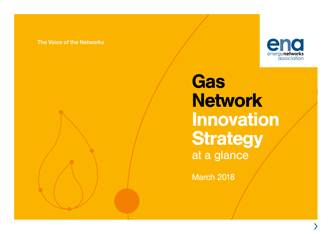#### The Voice of the Networks



**Gas Network** Innovation **Strategy** at a glance

March 2018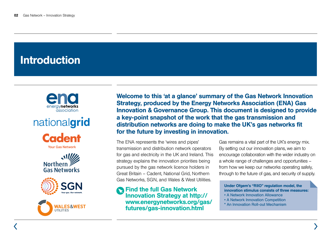## Introduction





**Your Gas Network** 







Welcome to this 'at a glance' summary of the Gas Network Innovation Strategy, produced by the Energy Networks Association (ENA) Gas Innovation & Governance Group. This document is designed to provide a key-point snapshot of the work that the gas transmission and distribution networks are doing to make the UK's gas networks fit for the future by investing in innovation.

The ENA represents the 'wires and pipes' transmission and distribution network operators for gas and electricity in the UK and Ireland. This strategy explains the innovation priorities being pursued by the gas network licence holders in Great Britain – Cadent, National Grid, Northern Gas Networks, SGN, and Wales & West Utilities.

Find the full Gas Network Innovation Strategy at [http://](http://www.energynetworks.org/gas/futures/gas-innovation.html) [www.energynetworks.org/gas/](http://www.energynetworks.org/gas/futures/gas-innovation.html) [futures/gas-innovation.html](http://www.energynetworks.org/gas/futures/gas-innovation.html)

Gas remains a vital part of the UK's energy mix. By setting out our innovation plans, we aim to encourage collaboration with the wider industry on a whole range of challenges and opportunities – from how we keep our networks operating safely, through to the future of gas, and security of supply.

Under Ofgem's "RIIO" regulation model, the innovation stimulus consists of three measures:

- A Network Innovation Allowance
- A Network Innovation Competition
- \* An Innovation Roll-out Mechanism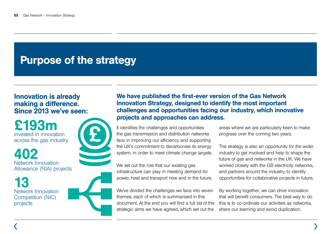### Purpose of the strategy

#### Innovation is already making a difference. Since 2013 we've seen:

£193m invested in innovation across the gas industry

402 Network Innovation Allowance (NIA) projects

13 Network Innovation Competition (NIC) projects



We have published the first-ever version of the Gas Network Innovation Strategy, designed to identify the most important challenges and opportunities facing our industry, which innovative projects and approaches can address.

It identifies the challenges and opportunities the gas transmission and distribution networks face in improving our efficiency and supporting the UK's commitment to decarbonise its energy system, in order to meet climate change targets.

We set out the role that our existing gas infrastructure can play in meeting demand for power, heat and transport now and in the future.

We've divided the challenges we face into seven themes, each of which is summarised in this document. At the end you will find a full list of the strategic aims we have agreed, which set out the

areas where we are particularly keen to make progress over the coming two years.

The strategy is also an opportunity for the wider industry to get involved and help to shape the future of gas and networks in the UK. We have worked closely with the GB electricity networks, and partners around the industry, to identify opportunities for collaborative projects in future,

By working together, we can drive innovation that will benefit consumers. The best way to do this is to co-ordinate our activities as networks, share our learning and avoid duplication.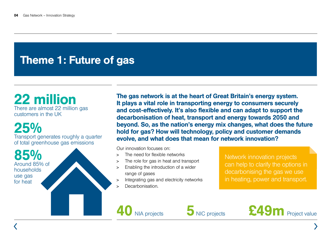## Theme 1: Future of gas

#### 22 million There are almost 22 million gas customers in the UK

### 25% Transport generates roughly a quarter

of total greenhouse gas emissions



The gas network is at the heart of Great Britain's energy system. It plays a vital role in transporting energy to consumers securely and cost-effectively. It's also flexible and can adapt to support the decarbonisation of heat, transport and energy towards 2050 and beyond. So, as the nation's energy mix changes, what does the future hold for gas? How will technology, policy and customer demands evolve, and what does that mean for network innovation?

Our innovation focuses on:

- <sup>&</sup>gt; The need for flexible networks
- The role for gas in heat and transport
- <sup>&</sup>gt; Enabling the introduction of a wider range of gases
- <sup>&</sup>gt; Integrating gas and electricity networks
- <sup>&</sup>gt; Decarbonisation.

Network innovation projects can help to clarify the options in decarbonising the gas we use in heating, power and transport.





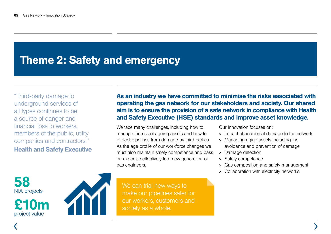### Theme 2: Safety and emergency

"Third-party damage to underground services of all types continues to be a source of danger and financial loss to workers, members of the public, utility companies and contractors." Health and Safety Executive

58 NIA projects

£10m project value



As an industry we have committed to minimise the risks associated with operating the gas network for our stakeholders and society. Our shared aim is to ensure the provision of a safe network in compliance with Health and Safety Executive (HSE) standards and improve asset knowledge.

We face many challenges, including how to manage the risk of ageing assets and how to protect pipelines from damage by third parties. As the age profile of our workforce changes we must also maintain safety competence and pass on expertise effectively to a new generation of gas engineers.

We can trial new ways to make our pipelines safer for our workers, customers and society as a whole.

Our innovation focuses on:

- <sup>&</sup>gt; Impact of accidental damage to the network
- <sup>&</sup>gt; Managing aging assets including the avoidance and prevention of damage
- <sup>&</sup>gt; Damage detection
- <sup>&</sup>gt; Safety competence
- <sup>&</sup>gt; Gas composition and safety management
- <sup>&</sup>gt; Collaboration with electricity networks.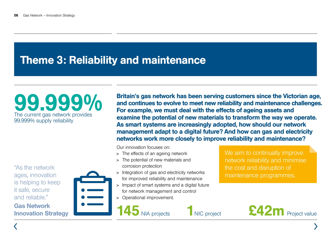## Theme 3: Reliability and maintenance

# 99.999% The current gas network provides 99.999% supply reliability

"As the network ages, innovation is helping to keep it safe, secure and reliable."

Gas Network Innovation Strategy



Britain's gas network has been serving customers since the Victorian age, and continues to evolve to meet new reliability and maintenance challenges. For example, we must deal with the effects of ageing assets and examine the potential of new materials to transform the way we operate. As smart systems are increasingly adopted, how should our network management adapt to a digital future? And how can gas and electricity networks work more closely to improve reliability and maintenance?

Our innovation focuses on:

- <sup>&</sup>gt; The effects of an ageing network
- <sup>&</sup>gt; The potential of new materials and corrosion protection
- <sup>&</sup>gt; Integration of gas and electricity networks for improved reliability and maintenance
- <sup>&</sup>gt; Impact of smart systems and a digital future for network management and control
- <sup>&</sup>gt; Operational improvement.

We aim to continually improve network reliability and minimise the cost and disruption of maintenance programmes.

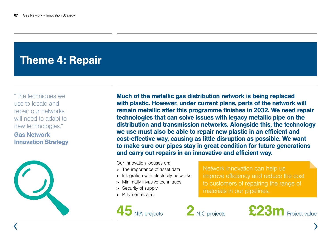## Theme 4: Repair

"The techniques we use to locate and repair our networks will need to adapt to new technologies."

#### Gas Network Innovation Strategy



Much of the metallic gas distribution network is being replaced with plastic. However, under current plans, parts of the network will remain metallic after this programme finishes in 2032. We need repair technologies that can solve issues with legacy metallic pipe on the distribution and transmission networks. Alongside this, the technology we use must also be able to repair new plastic in an efficient and cost-effective way, causing as little disruption as possible. We want to make sure our pipes stay in great condition for future generations and carry out repairs in an innovative and efficient way.

Our innovation focuses on:

- <sup>&</sup>gt; The importance of asset data
- <sup>&</sup>gt; Integration with electricity networks
- <sup>&</sup>gt; Minimally invasive techniques
- <sup>&</sup>gt; Security of supply
- <sup>&</sup>gt; Polymer repairs.

Network innovation can help us improve efficiency and reduce the cost to customers of repairing the range of materials in our pipelines.



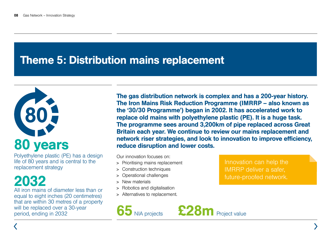### Theme 5: Distribution mains replacement



Polyethylene plastic (PE) has a design life of 80 years and is central to the replacement strategy

# 2032

All iron mains of diameter less than or equal to eight inches (20 centimetres) that are within 30 metres of a property will be replaced over a 30-year period, ending in 2032

The gas distribution network is complex and has a 200-year history. The Iron Mains Risk Reduction Programme (IMRRP – also known as the '30/30 Programme') began in 2002. It has accelerated work to replace old mains with polyethylene plastic (PE). It is a huge task. The programme sees around 3,200km of pipe replaced across Great Britain each year. We continue to review our mains replacement and network riser strategies, and look to innovation to improve efficiency, reduce disruption and lower costs.

Our innovation focuses on:

- <sup>&</sup>gt; Prioritising mains replacement
- <sup>&</sup>gt; Construction techniques
- <sup>&</sup>gt; Operational challenges
- <sup>&</sup>gt; New materials
- <sup>&</sup>gt; Robotics and digitalisation
- <sup>&</sup>gt; Alternatives to replacement.

Innovation can help the IMRRP deliver a safer, future-proofed network.

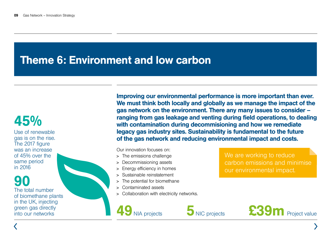### Theme 6: Environment and low carbon

## 45%

Use of renewable gas is on the rise. The 2017 figure was an increase of 45% over the same period in 2016

90

The total number of biomethane plants in the UK, injecting green gas directly

Improving our environmental performance is more important than ever. We must think both locally and globally as we manage the impact of the gas network on the environment. There any many issues to consider – ranging from gas leakage and venting during field operations, to dealing with contamination during decommisioning and how we remediate legacy gas industry sites. Sustainability is fundamental to the future of the gas network and reducing environmental impact and costs.

Our innovation focuses on:

- <sup>&</sup>gt; The emissions challenge
- <sup>&</sup>gt; Decommissioning assets
- <sup>&</sup>gt; Energy efficiency in homes
- <sup>&</sup>gt; Sustainable reinstatement
- <sup>&</sup>gt; The potential for biomethane
- <sup>&</sup>gt; Contaminated assets
- <sup>&</sup>gt; Collaboration with electricity networks.



We are working to reduce carbon emissions and minimise our environmental impact.

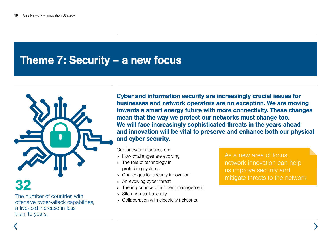### Theme 7: Security – a new focus



The number of countries with offensive cyber-attack capabilities, a five-fold increase in less than 10 years.

Cyber and information security are increasingly crucial issues for businesses and network operators are no exception. We are moving towards a smart energy future with more connectivity. These changes mean that the way we protect our networks must change too. We will face increasingly sophisticated threats in the years ahead and innovation will be vital to preserve and enhance both our physical and cyber security.

Our innovation focuses on:

- <sup>&</sup>gt; How challenges are evolving
- <sup>&</sup>gt; The role of technology in protecting systems
- <sup>&</sup>gt; Challenges for security innovation
- <sup>&</sup>gt; An evolving cyber threat
- <sup>&</sup>gt; The importance of incident management
- <sup>&</sup>gt; Site and asset security
- <sup>&</sup>gt; Collaboration with electricity networks.

As a new area of focus, network innovation can help us improve security and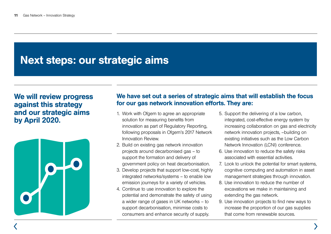## Next steps: our strategic aims

#### We will review progress against this strategy and our strategic aims by April 2020.



#### We have set out a series of strategic aims that will establish the focus for our gas network innovation efforts. They are:

- 1. Work with Ofgem to agree an appropriate solution for measuring benefits from innovation as part of Regulatory Reporting, following proposals in Ofgem's 2017 Network Innovation Review.
- 2. Build on existing gas network innovation projects around decarbonised gas – to support the formation and delivery of government policy on heat decarbonisation.
- 3. Develop projects that support low-cost, highly integrated networks/systems – to enable low emission journeys for a variety of vehicles.
- 4. Continue to use innovation to explore the potential and demonstrate the safety of using a wider range of gases in UK networks – to support decarbonisation, minimise costs to consumers and enhance security of supply.
- 5. Support the delivering of a low carbon, integrated, cost-effective energy system by increasing collaboration on gas and electricity network innovation projects, –building on existing initiatives such as the Low Carbon Network Innovation (LCNI) conference.
- 6. Use innovation to reduce the safety risks associated with essential activities.
- 7. Look to unlock the potential for smart systems, cognitive computing and automation in asset management strategies through innovation.
- 8. Use innovation to reduce the number of excavations we make in maintaining and extending the gas network.
- 9. Use innovation projects to find new ways to increase the proportion of our gas supplies that come from renewable sources.